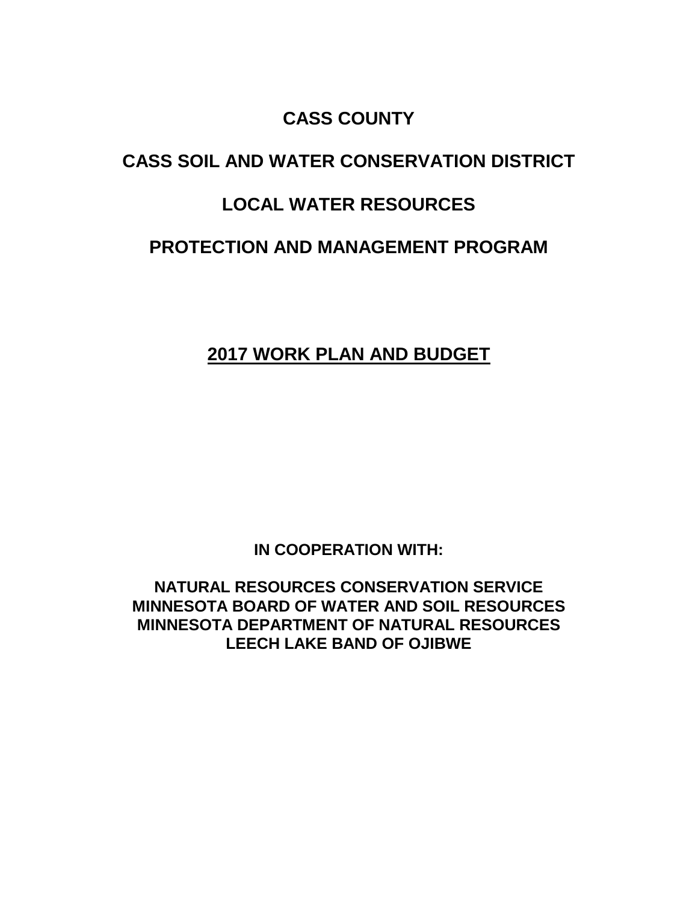## **CASS COUNTY**

# **CASS SOIL AND WATER CONSERVATION DISTRICT**

## **LOCAL WATER RESOURCES**

## **PROTECTION AND MANAGEMENT PROGRAM**

## **2017 WORK PLAN AND BUDGET**

**IN COOPERATION WITH:**

**NATURAL RESOURCES CONSERVATION SERVICE MINNESOTA BOARD OF WATER AND SOIL RESOURCES MINNESOTA DEPARTMENT OF NATURAL RESOURCES LEECH LAKE BAND OF OJIBWE**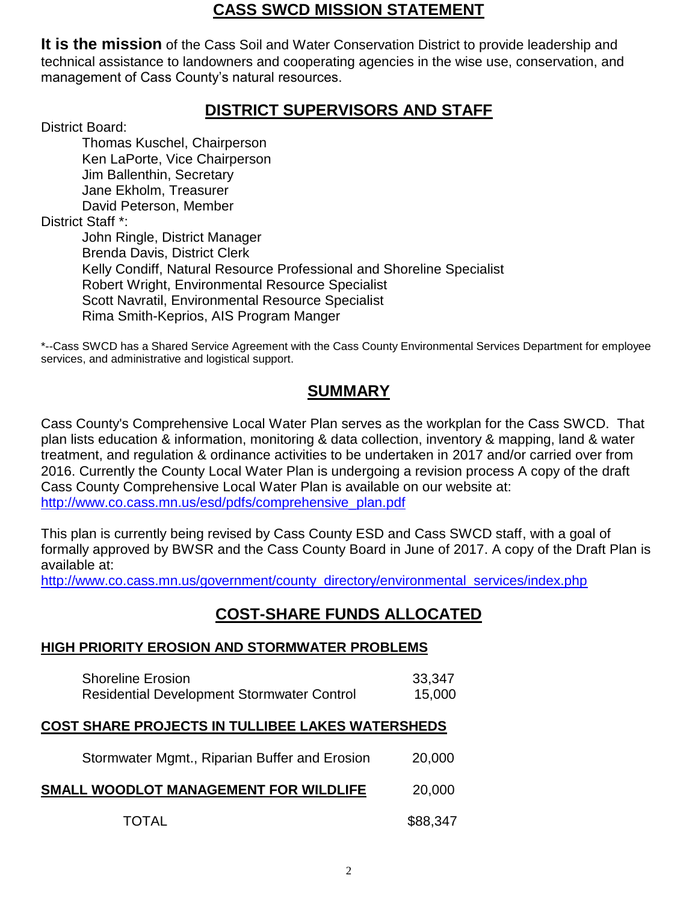### **CASS SWCD MISSION STATEMENT**

**It is the mission** of the Cass Soil and Water Conservation District to provide leadership and technical assistance to landowners and cooperating agencies in the wise use, conservation, and management of Cass County's natural resources.

### **DISTRICT SUPERVISORS AND STAFF**

District Board:

Thomas Kuschel, Chairperson Ken LaPorte, Vice Chairperson Jim Ballenthin, Secretary Jane Ekholm, Treasurer David Peterson, Member District Staff<sup>\*</sup>: John Ringle, District Manager Brenda Davis, District Clerk Kelly Condiff, Natural Resource Professional and Shoreline Specialist Robert Wright, Environmental Resource Specialist Scott Navratil, Environmental Resource Specialist Rima Smith-Keprios, AIS Program Manger

\*--Cass SWCD has a Shared Service Agreement with the Cass County Environmental Services Department for employee services, and administrative and logistical support.

## **SUMMARY**

Cass County's Comprehensive Local Water Plan serves as the workplan for the Cass SWCD. That plan lists education & information, monitoring & data collection, inventory & mapping, land & water treatment, and regulation & ordinance activities to be undertaken in 2017 and/or carried over from 2016. Currently the County Local Water Plan is undergoing a revision process A copy of the draft Cass County Comprehensive Local Water Plan is available on our website at: [http://www.co.cass.mn.us/esd/pdfs/comprehensive\\_plan.pdf](http://www.co.cass.mn.us/esd/pdfs/comprehensive_plan.pdf)

This plan is currently being revised by Cass County ESD and Cass SWCD staff, with a goal of formally approved by BWSR and the Cass County Board in June of 2017. A copy of the Draft Plan is available at:

[http://www.co.cass.mn.us/government/county\\_directory/environmental\\_services/index.php](http://www.co.cass.mn.us/government/county_directory/environmental_services/index.php)

### **COST-SHARE FUNDS ALLOCATED**

#### **HIGH PRIORITY EROSION AND STORMWATER PROBLEMS**

| <b>Shoreline Erosion</b>                          | 33,347 |
|---------------------------------------------------|--------|
| <b>Residential Development Stormwater Control</b> | 15,000 |

#### **COST SHARE PROJECTS IN TULLIBEE LAKES WATERSHEDS**

| Stormwater Mgmt., Riparian Buffer and Erosion | 20,000   |
|-----------------------------------------------|----------|
| SMALL WOODLOT MANAGEMENT FOR WILDLIFE         | 20,000   |
| <b>TOTAL</b>                                  | \$88,347 |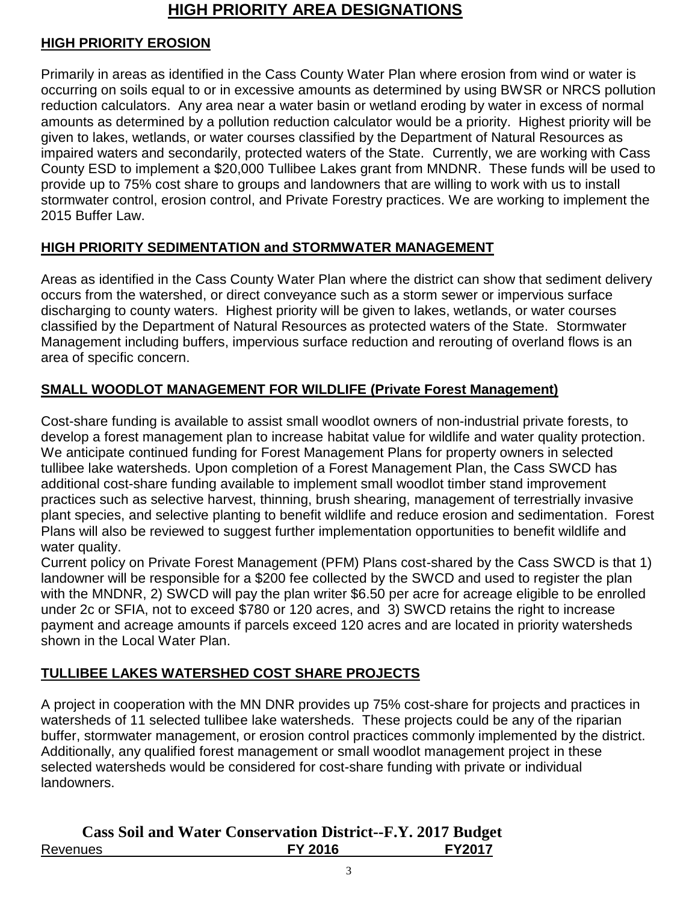## **HIGH PRIORITY AREA DESIGNATIONS**

### **HIGH PRIORITY EROSION**

Primarily in areas as identified in the Cass County Water Plan where erosion from wind or water is occurring on soils equal to or in excessive amounts as determined by using BWSR or NRCS pollution reduction calculators. Any area near a water basin or wetland eroding by water in excess of normal amounts as determined by a pollution reduction calculator would be a priority. Highest priority will be given to lakes, wetlands, or water courses classified by the Department of Natural Resources as impaired waters and secondarily, protected waters of the State. Currently, we are working with Cass County ESD to implement a \$20,000 Tullibee Lakes grant from MNDNR. These funds will be used to provide up to 75% cost share to groups and landowners that are willing to work with us to install stormwater control, erosion control, and Private Forestry practices. We are working to implement the 2015 Buffer Law.

#### **HIGH PRIORITY SEDIMENTATION and STORMWATER MANAGEMENT**

Areas as identified in the Cass County Water Plan where the district can show that sediment delivery occurs from the watershed, or direct conveyance such as a storm sewer or impervious surface discharging to county waters. Highest priority will be given to lakes, wetlands, or water courses classified by the Department of Natural Resources as protected waters of the State. Stormwater Management including buffers, impervious surface reduction and rerouting of overland flows is an area of specific concern.

### **SMALL WOODLOT MANAGEMENT FOR WILDLIFE (Private Forest Management)**

Cost-share funding is available to assist small woodlot owners of non-industrial private forests, to develop a forest management plan to increase habitat value for wildlife and water quality protection. We anticipate continued funding for Forest Management Plans for property owners in selected tullibee lake watersheds. Upon completion of a Forest Management Plan, the Cass SWCD has additional cost-share funding available to implement small woodlot timber stand improvement practices such as selective harvest, thinning, brush shearing, management of terrestrially invasive plant species, and selective planting to benefit wildlife and reduce erosion and sedimentation. Forest Plans will also be reviewed to suggest further implementation opportunities to benefit wildlife and water quality.

Current policy on Private Forest Management (PFM) Plans cost-shared by the Cass SWCD is that 1) landowner will be responsible for a \$200 fee collected by the SWCD and used to register the plan with the MNDNR, 2) SWCD will pay the plan writer \$6.50 per acre for acreage eligible to be enrolled under 2c or SFIA, not to exceed \$780 or 120 acres, and 3) SWCD retains the right to increase payment and acreage amounts if parcels exceed 120 acres and are located in priority watersheds shown in the Local Water Plan.

#### **TULLIBEE LAKES WATERSHED COST SHARE PROJECTS**

A project in cooperation with the MN DNR provides up 75% cost-share for projects and practices in watersheds of 11 selected tullibee lake watersheds. These projects could be any of the riparian buffer, stormwater management, or erosion control practices commonly implemented by the district. Additionally, any qualified forest management or small woodlot management project in these selected watersheds would be considered for cost-share funding with private or individual landowners.

|                 | <b>Cass Soil and Water Conservation District--F.Y. 2017 Budget</b> |               |
|-----------------|--------------------------------------------------------------------|---------------|
| <b>Revenues</b> | <b>FY 2016</b>                                                     | <b>FY2017</b> |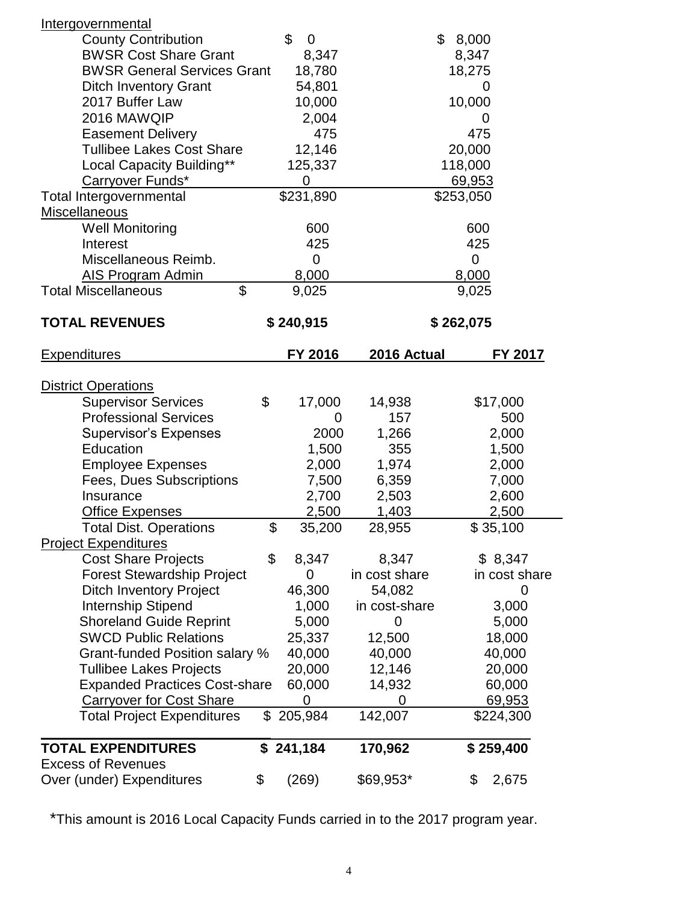| Intergovernmental                    |                   |               |             |               |  |
|--------------------------------------|-------------------|---------------|-------------|---------------|--|
| <b>County Contribution</b>           | \$<br>$\mathbf 0$ |               | \$<br>8,000 |               |  |
| <b>BWSR Cost Share Grant</b>         | 8,347             |               | 8,347       |               |  |
| <b>BWSR General Services Grant</b>   | 18,780            |               | 18,275      |               |  |
| <b>Ditch Inventory Grant</b>         | 54,801            |               |             | 0             |  |
| 2017 Buffer Law                      | 10,000            |               | 10,000      |               |  |
| 2016 MAWQIP                          | 2,004             |               |             | O             |  |
| <b>Easement Delivery</b>             | 475               |               | 475         |               |  |
| <b>Tullibee Lakes Cost Share</b>     | 12,146            |               | 20,000      |               |  |
| Local Capacity Building**            | 125,337           |               | 118,000     |               |  |
| Carryover Funds*                     | $\overline{0}$    |               | 69,953      |               |  |
| <b>Total Intergovernmental</b>       | \$231,890         |               | \$253,050   |               |  |
| <b>Miscellaneous</b>                 |                   |               |             |               |  |
| <b>Well Monitoring</b>               | 600               |               | 600         |               |  |
| Interest                             | 425               |               | 425         |               |  |
| Miscellaneous Reimb.                 | $\mathbf 0$       |               | 0           |               |  |
| AIS Program Admin                    | 8,000             |               | 8,000       |               |  |
| \$<br><b>Total Miscellaneous</b>     | 9,025             |               | 9,025       |               |  |
| <b>TOTAL REVENUES</b>                | \$240,915         | \$262,075     |             |               |  |
| <b>Expenditures</b>                  | FY 2016           | 2016 Actual   |             | FY 2017       |  |
| <b>District Operations</b>           |                   |               |             |               |  |
| <b>Supervisor Services</b>           | \$<br>17,000      | 14,938        |             | \$17,000      |  |
| <b>Professional Services</b>         | 0                 | 157           |             | 500           |  |
| <b>Supervisor's Expenses</b>         | 2000              | 1,266         |             | 2,000         |  |
| Education                            | 1,500             | 355           |             | 1,500         |  |
| <b>Employee Expenses</b>             | 2,000             | 1,974         |             | 2,000         |  |
| Fees, Dues Subscriptions             | 7,500             | 6,359         |             | 7,000         |  |
| Insurance                            | 2,700             | 2,503         |             | 2,600         |  |
| Office Expenses                      | 2,500             | 1,403         |             | 2,500         |  |
| Total Dist. Operations               | \$<br>35,200      | 28,955        |             | \$35,100      |  |
| <b>Project Expenditures</b>          |                   |               |             |               |  |
| <b>Cost Share Projects</b>           | \$<br>8,347       | 8,347         |             | \$8,347       |  |
| <b>Forest Stewardship Project</b>    | 0                 | in cost share |             | in cost share |  |
| <b>Ditch Inventory Project</b>       | 46,300            | 54,082        |             | 0             |  |
| Internship Stipend                   | 1,000             | in cost-share |             | 3,000         |  |
| <b>Shoreland Guide Reprint</b>       | 5,000             | 0             |             | 5,000         |  |
| <b>SWCD Public Relations</b>         | 25,337            | 12,500        |             | 18,000        |  |
| Grant-funded Position salary %       | 40,000            | 40,000        |             | 40,000        |  |
| <b>Tullibee Lakes Projects</b>       | 20,000            | 12,146        |             | 20,000        |  |
| <b>Expanded Practices Cost-share</b> | 60,000            | 14,932        |             | 60,000        |  |
| <b>Carryover for Cost Share</b>      | 0                 | $\mathbf 0$   |             | 69,953        |  |
| <b>Total Project Expenditures</b>    | \$<br>205,984     | 142,007       |             | \$224,300     |  |
| <b>TOTAL EXPENDITURES</b>            | \$241,184         | 170,962       |             | \$259,400     |  |
| <b>Excess of Revenues</b>            |                   |               |             |               |  |
| Over (under) Expenditures            | \$<br>(269)       | \$69,953*     | \$          | 2,675         |  |

\*This amount is 2016 Local Capacity Funds carried in to the 2017 program year.